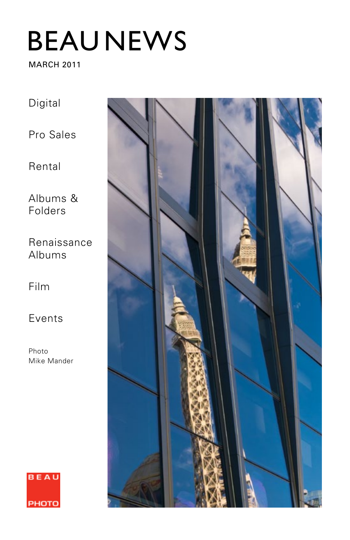# BEAU NEWS

#### MARCH 2011

Digital

Pro Sales

Rental

Albums & Folders

Renaissance Albums

Film

Events

Photo Mike Mander



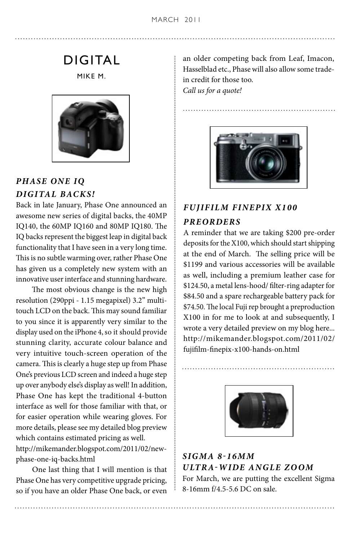# DIGITAL

MIKE M.



# *PHASE ONE IQ DIGITAL BACKS!*

Back in late January, Phase One announced an awesome new series of digital backs, the 40MP IQ140, the 60MP IQ160 and 80MP IQ180. The IQ backs represent the biggest leap in digital back functionality that I have seen in a very long time. This is no subtle warming over, rather Phase One has given us a completely new system with an innovative user interface and stunning hardware.

 The most obvious change is the new high resolution (290ppi - 1.15 megapixel) 3.2" multitouch LCD on the back. This may sound familiar to you since it is apparently very similar to the display used on the iPhone 4, so it should provide stunning clarity, accurate colour balance and very intuitive touch-screen operation of the camera. This is clearly a huge step up from Phase One's previous LCD screen and indeed a huge step up over anybody else's display as well! In addition, Phase One has kept the traditional 4-button interface as well for those familiar with that, or for easier operation while wearing gloves. For more details, please see my detailed blog preview which contains estimated pricing as well. http://mikemander.blogspot.com/2011/02/newphase-one-iq-backs.html

 One last thing that I will mention is that Phase One has very competitive upgrade pricing, so if you have an older Phase One back, or even an older competing back from Leaf, Imacon, Hasselblad etc., Phase will also allow some tradein credit for those too. *Call us for a quote!*



# *FUJIFILM FINEPIX X100 PREORDERS*

A reminder that we are taking \$200 pre-order deposits for the X100, which should start shipping at the end of March. The selling price will be \$1199 and various accessories will be available as well, including a premium leather case for \$124.50, a metal lens-hood/ filter-ring adapter for \$84.50 and a spare rechargeable battery pack for \$74.50. The local Fuji rep brought a preproduction X100 in for me to look at and subsequently, I wrote a very detailed preview on my blog here... http://mikemander.blogspot.com/2011/02/ fujifilm-finepix-x100-hands-on.html



*SIGMA 8-16mm ULTRA-WIDE ANGLE ZOOM* For March, we are putting the excellent Sigma 8-16mm f/4.5-5.6 DC on sale.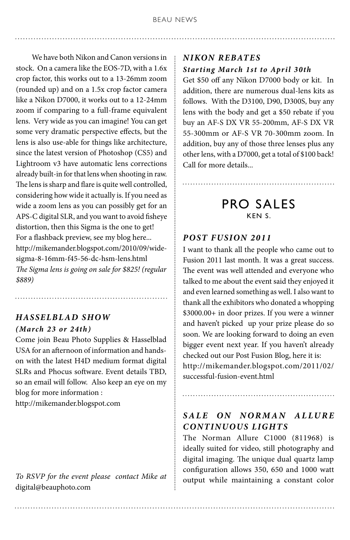We have both Nikon and Canon versions in stock. On a camera like the EOS-7D, with a 1.6x crop factor, this works out to a 13-26mm zoom (rounded up) and on a 1.5x crop factor camera like a Nikon D7000, it works out to a 12-24mm zoom if comparing to a full-frame equivalent lens. Very wide as you can imagine! You can get some very dramatic perspective effects, but the lens is also use-able for things like architecture, since the latest version of Photoshop (CS5) and Lightroom v3 have automatic lens corrections already built-in for that lens when shooting in raw. The lens is sharp and flare is quite well controlled, considering how wide it actually is. If you need as wide a zoom lens as you can possibly get for an APS-C digital SLR, and you want to avoid fisheye distortion, then this Sigma is the one to get! For a flashback preview, see my blog here... http://mikemander.blogspot.com/2010/09/widesigma-8-16mm-f45-56-dc-hsm-lens.html *The Sigma lens is going on sale for \$825! (regular \$889)*

# *Hasselblad ShoW (March 23 or 24th)*

Come join Beau Photo Supplies & Hasselblad USA for an afternoon of information and handson with the latest H4D medium format digital SLRs and Phocus software. Event details TBD, so an email will follow. Also keep an eye on my blog for more information :

http://mikemander.blogspot.com

*To RSVP for the event please contact Mike at*  digital@beauphoto.com

#### *Nikon Rebates Starting March 1st to April 30th*

Get \$50 off any Nikon D7000 body or kit. In addition, there are numerous dual-lens kits as follows. With the D3100, D90, D300S, buy any lens with the body and get a \$50 rebate if you buy an AF-S DX VR 55-200mm, AF-S DX VR 55-300mm or AF-S VR 70-300mm zoom. In addition, buy any of those three lenses plus any other lens, with a D7000, get a total of \$100 back! Call for more details...

# PRO SALES KEN S.

#### *POST FUSION 2011*

I want to thank all the people who came out to Fusion 2011 last month. It was a great success. The event was well attended and everyone who talked to me about the event said they enjoyed it and even learned something as well. I also want to thank all the exhibitors who donated a whopping \$3000.00+ in door prizes. If you were a winner and haven't picked up your prize please do so soon. We are looking forward to doing an even bigger event next year. If you haven't already checked out our Post Fusion Blog, here it is: http://mikemander.blogspot.com/2011/02/ successful-fusion-event.html

#### *SALE ON NORMAN ALLURE CONTINUOUS LIGHTS*

The Norman Allure C1000 (811968) is ideally suited for video, still photography and digital imaging. The unique dual quartz lamp configuration allows 350, 650 and 1000 watt output while maintaining a constant color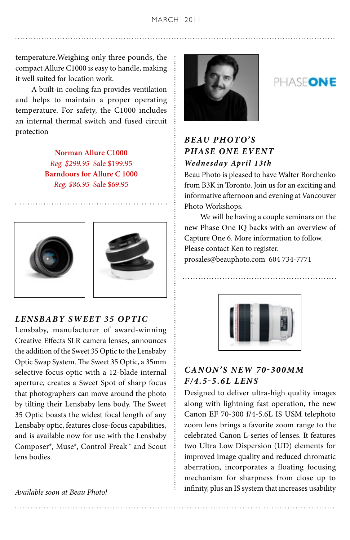MARCH 2011

temperature.Weighing only three pounds, the compact Allure C1000 is easy to handle, making it well suited for location work.

 A built-in cooling fan provides ventilation and helps to maintain a proper operating temperature. For safety, the C1000 includes an internal thermal switch and fused circuit protection

> **Norman Allure C1000** *Reg. \$299.95* Sale \$199.95 **Barndoors for Allure C 1000** *Reg. \$86.95* Sale \$69.95





#### *LENSBABY Sweet 35 Optic*

Lensbaby, manufacturer of award-winning Creative Effects SLR camera lenses, announces the addition of the Sweet 35 Optic to the Lensbaby Optic Swap System. The Sweet 35 Optic, a 35mm selective focus optic with a 12-blade internal aperture, creates a Sweet Spot of sharp focus that photographers can move around the photo by tilting their Lensbaby lens body. The Sweet 35 Optic boasts the widest focal length of any Lensbaby optic, features close-focus capabilities, and is available now for use with the Lensbaby Composer®, Muse®, Control Freak™ and Scout lens bodies.

*Available soon at Beau Photo!*



# PHASFONE

# **BEAU PHOTO'S** *PHASE ONE EVENT Wednesday Apr il 13th*

Beau Photo is pleased to have Walter Borchenko from B3K in Toronto. Join us for an exciting and informative afternoon and evening at Vancouver Photo Workshops.

 We will be having a couple seminars on the new Phase One IQ backs with an overview of Capture One 6. More information to follow. Please contact Ken to register. prosales@beauphoto.com 604 734-7771



#### *CANON'S NEW 70-300mm f/4.5-5.6L Lens*

Designed to deliver ultra-high quality images along with lightning fast operation, the new Canon EF 70-300 f/4-5.6L IS USM telephoto zoom lens brings a favorite zoom range to the celebrated Canon L-series of lenses. It features two Ultra Low Dispersion (UD) elements for improved image quality and reduced chromatic aberration, incorporates a floating focusing mechanism for sharpness from close up to infinity, plus an IS system that increases usability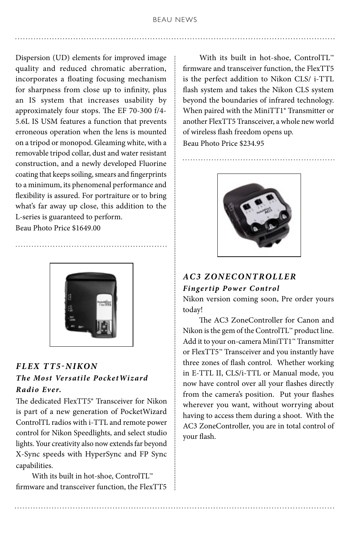Dispersion (UD) elements for improved image quality and reduced chromatic aberration, incorporates a floating focusing mechanism for sharpness from close up to infinity, plus an IS system that increases usability by approximately four stops. The EF 70-300 f/4- 5.6L IS USM features a function that prevents erroneous operation when the lens is mounted on a tripod or monopod. Gleaming white, with a removable tripod collar, dust and water resistant construction, and a newly developed Fluorine coating that keeps soiling, smears and fingerprints to a minimum, its phenomenal performance and flexibility is assured. For portraiture or to bring what's far away up close, this addition to the L-series is guaranteed to perform.

Beau Photo Price \$1649.00



#### *Flex TT5-Nikon The Most Versatile PocketWiz ard Radio Ever.*

The dedicated FlexTT5® Transceiver for Nikon is part of a new generation of PocketWizard ControlTL radios with i-TTL and remote power control for Nikon Speedlights, and select studio lights. Your creativity also now extends far beyond X-Sync speeds with HyperSync and FP Sync capabilities.

With its built in hot-shoe, ControlTL™ firmware and transceiver function, the FlexTT5

With its built in hot-shoe, ControlTL™ firmware and transceiver function, the FlexTT5 is the perfect addition to Nikon CLS/ i-TTL flash system and takes the Nikon CLS system beyond the boundaries of infrared technology. When paired with the MiniTT1® Transmitter or another FlexTT5 Transceiver, a whole new world of wireless flash freedom opens up. Beau Photo Price \$234.95



# *AC3 ZoneController*

#### *Fingertip Power Control*

Nikon version coming soon, Pre order yours today!

 The AC3 ZoneController for Canon and Nikon is the gem of the ControlTL™ product line. Add it to your on-camera MiniTT1™ Transmitter or FlexTT5™ Transceiver and you instantly have three zones of flash control. Whether working in E-TTL II, CLS/i-TTL or Manual mode, you now have control over all your flashes directly from the camera's position. Put your flashes wherever you want, without worrying about having to access them during a shoot. With the AC3 ZoneController, you are in total control of your flash.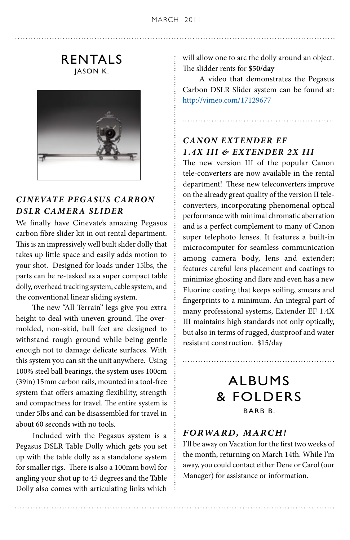RENTALS JASON K.



# *Cinevate Pegasus Carbon DSLR Camera Slider*

We finally have Cinevate's amazing Pegasus carbon fibre slider kit in out rental department. This is an impressively well built slider dolly that takes up little space and easily adds motion to your shot. Designed for loads under 15lbs, the parts can be re-tasked as a super compact table dolly, overhead tracking system, cable system, and the conventional linear sliding system.

 The new "All Terrain" legs give you extra height to deal with uneven ground. The overmolded, non-skid, ball feet are designed to withstand rough ground while being gentle enough not to damage delicate surfaces. With this system you can sit the unit anywhere. Using 100% steel ball bearings, the system uses 100cm (39in) 15mm carbon rails, mounted in a tool-free system that offers amazing flexibility, strength and compactness for travel. The entire system is under 5lbs and can be disassembled for travel in about 60 seconds with no tools.

 Included with the Pegasus system is a Pegasus DSLR Table Dolly which gets you set up with the table dolly as a standalone system for smaller rigs. There is also a 100mm bowl for angling your shot up to 45 degrees and the Table Dolly also comes with articulating links which will allow one to arc the dolly around an object. The slidder rents for **\$50/day**

 A video that demonstrates the Pegasus Carbon DSLR Slider system can be found at: http://vimeo.com/17129677

### *Canon Extender EF 1.4x III & Extender 2x III*

The new version III of the popular Canon tele-converters are now available in the rental department! These new teleconverters improve on the already great quality of the version II teleconverters, incorporating phenomenal optical performance with minimal chromatic aberration and is a perfect complement to many of Canon super telephoto lenses. It features a built-in microcomputer for seamless communication among camera body, lens and extender; features careful lens placement and coatings to minimize ghosting and flare and even has a new Fluorine coating that keeps soiling, smears and fingerprints to a minimum. An integral part of many professional systems, Extender EF 1.4X III maintains high standards not only optically, but also in terms of rugged, dustproof and water resistant construction. \$15/day

# ALBUMS & FOLDERS BARB B.

#### *Forward, March!*

I'll be away on Vacation for the first two weeks of the month, returning on March 14th. While I'm away, you could contact either Dene or Carol (our Manager) for assistance or information.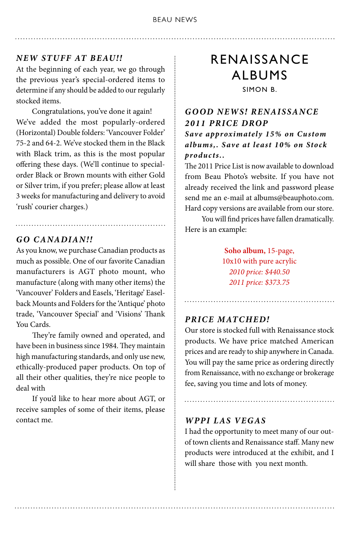#### BEAU NEWS

#### *NEW STUFF AT BEAU!!*

At the beginning of each year, we go through the previous year's special-ordered items to determine if any should be added to our regularly stocked items.

 Congratulations, you've done it again! We've added the most popularly-ordered (Horizontal) Double folders: 'Vancouver Folder' 75-2 and 64-2. We've stocked them in the Black with Black trim, as this is the most popular offering these days. (We'll continue to specialorder Black or Brown mounts with either Gold or Silver trim, if you prefer; please allow at least 3 weeks for manufacturing and delivery to avoid 'rush' courier charges.)

#### *GO CANADIAN!!*

As you know, we purchase Canadian products as much as possible. One of our favorite Canadian manufacturers is AGT photo mount, who manufacture (along with many other items) the 'Vancouver' Folders and Easels, 'Heritage' Easelback Mounts and Folders for the 'Antique' photo trade, 'Vancouver Special' and 'Visions' Thank You Cards.

 They're family owned and operated, and have been in business since 1984. They maintain high manufacturing standards, and only use new, ethically-produced paper products. On top of all their other qualities, they're nice people to deal with

 If you'd like to hear more about AGT, or receive samples of some of their items, please contact me.

# RENAISSANCE **ALBUMS**

SIMON B.

#### *Good News! Renaissance 2011 Price Drop S ave approximately 15% on Cu stom*

*album s,. S ave at least 10% on Stock products..*

The 2011 Price List is now available to download from Beau Photo's website. If you have not already received the link and password please send me an e-mail at albums@beauphoto.com. Hard copy versions are available from our store.

 You will find prices have fallen dramatically. Here is an example:

> **Soho album,** 15-page, 10x10 with pure acrylic *2010 price: \$440.50 2011 price: \$373.75*

#### *PRICE MATCHED!*

Our store is stocked full with Renaissance stock products. We have price matched American prices and are ready to ship anywhere in Canada. You will pay the same price as ordering directly from Renaissance, with no exchange or brokerage fee, saving you time and lots of money.

#### *WPPI Las Vegas*

I had the opportunity to meet many of our outof town clients and Renaissance staff. Many new products were introduced at the exhibit, and I will share those with you next month.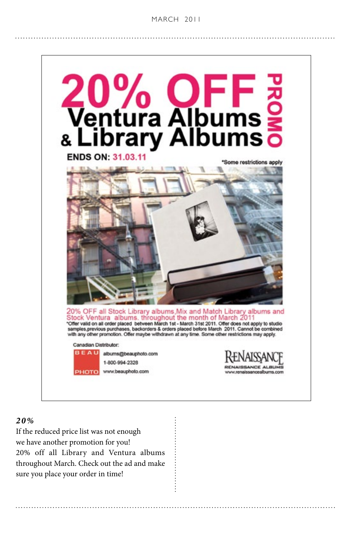#### **BEAU NEWS MARCH 2011**



*20%*

If the reduced price list was not enough we have another promotion for you! 20% off all Library and Ventura albums throughout March. Check out the ad and make sure you place your order in time!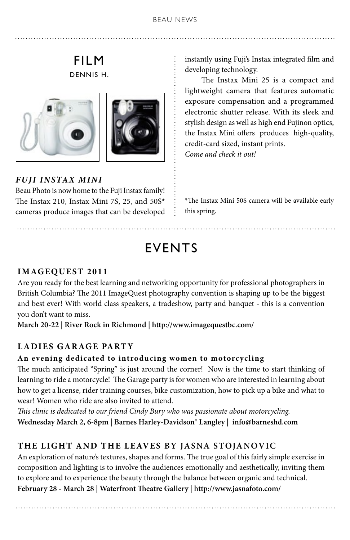# FILM DENNIS H.





*FUJI INSTAX MINI*

Beau Photo is now home to the Fuji Instax family! The Instax 210, Instax Mini 7S, 25, and 50S\* cameras produce images that can be developed instantly using Fuji's Instax integrated film and developing technology.

 The Instax Mini 25 is a compact and lightweight camera that features automatic exposure compensation and a programmed electronic shutter release. With its sleek and stylish design as well as high end Fujinon optics, the Instax Mini offers produces high-quality, credit-card sized, instant prints. *Come and check it out!*

\*The Instax Mini 50S camera will be available early this spring.

# EVENTS

# **ImageQuest 2011**

Are you ready for the best learning and networking opportunity for professional photographers in British Columbia? The 2011 ImageQuest photography convention is shaping up to be the biggest and best ever! With world class speakers, a tradeshow, party and banquet - this is a convention you don't want to miss.

**March 20-22 | River Rock in Richmond | http://www.imagequestbc.com/**

#### **LADIES GARAGE PARTY**

#### **An evening dedicated to introducing women to motorcycling**

The much anticipated "Spring" is just around the corner! Now is the time to start thinking of learning to ride a motorcycle! The Garage party is for women who are interested in learning about how to get a license, rider training courses, bike customization, how to pick up a bike and what to wear! Women who ride are also invited to attend.

*This clinic is dedicated to our friend Cindy Bury who was passionate about motorcycling.*  **Wednesday March 2, 6-8pm | Barnes Harley-Davidson® Langley | info@barneshd.com**

#### **The Light And The Leaves by Jasna Stojanovic**

An exploration of nature's textures, shapes and forms. The true goal of this fairly simple exercise in composition and lighting is to involve the audiences emotionally and aesthetically, inviting them to explore and to experience the beauty through the balance between organic and technical. **February 28 - March 28 | Waterfront Theatre Gallery | http://www.jasnafoto.com/**